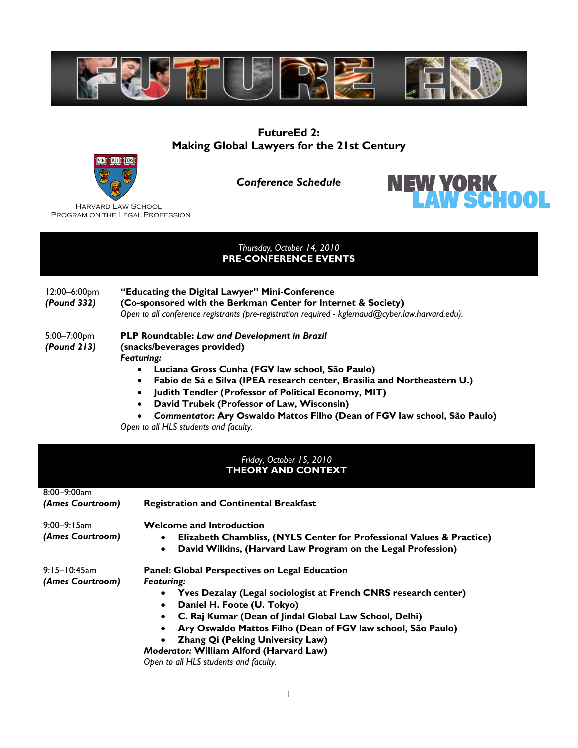

# **FutureEd 2: Making Global Lawyers for the 21st Century**



*Conference Schedule* 



 Harvard Law School Program on the Legal Profession

## *Thursday, October 14, 2010*  **PRE-CONFERENCE EVENTS**

| 12:00–6:00pm<br>(Pound 332) | "Educating the Digital Lawyer" Mini-Conference<br>(Co-sponsored with the Berkman Center for Internet & Society)<br>Open to all conference registrants (pre-registration required - kglemaud@cyber.law.harvard.edu). |
|-----------------------------|---------------------------------------------------------------------------------------------------------------------------------------------------------------------------------------------------------------------|
|                             |                                                                                                                                                                                                                     |

#### 5:00–7:00pm *(Pound 213)* **PLP Roundtable:** *Law and Development in Brazil* **(snacks/beverages provided)**  *Featuring:*

- **Luciana Gross Cunha (FGV law school, São Paulo)**
- **Fabio de Sá e Silva (IPEA research center, Brasilia and Northeastern U.)**
- **Judith Tendler (Professor of Political Economy, MIT)**
- **David Trubek (Professor of Law, Wisconsin)**
- *Commentator:* **Ary Oswaldo Mattos Filho (Dean of FGV law school, São Paulo)**

*Open to all HLS students and faculty.* 

## *Friday, October 15, 2010*  **THEORY AND CONTEXT**

| $8:00 - 9:00$ am<br>(Ames Courtroom) | <b>Registration and Continental Breakfast</b>                                                                           |
|--------------------------------------|-------------------------------------------------------------------------------------------------------------------------|
|                                      |                                                                                                                         |
| $9:00 - 9:15$ am<br>(Ames Courtroom) | <b>Welcome and Introduction</b><br>Elizabeth Chambliss, (NYLS Center for Professional Values & Practice)                |
|                                      | David Wilkins, (Harvard Law Program on the Legal Profession)<br>$\bullet$                                               |
| $9:15-10:45$ am<br>(Ames Courtroom)  | <b>Panel: Global Perspectives on Legal Education</b><br><b>Featuring:</b>                                               |
|                                      | Yves Dezalay (Legal sociologist at French CNRS research center)<br>$\bullet$<br>Daniel H. Foote (U. Tokyo)<br>$\bullet$ |
|                                      | C. Raj Kumar (Dean of Jindal Global Law School, Delhi)<br>$\bullet$                                                     |
|                                      | Ary Oswaldo Mattos Filho (Dean of FGV law school, São Paulo)                                                            |
|                                      | Zhang Qi (Peking University Law)                                                                                        |
|                                      | Moderator: William Alford (Harvard Law)                                                                                 |
|                                      | Open to all HLS students and faculty.                                                                                   |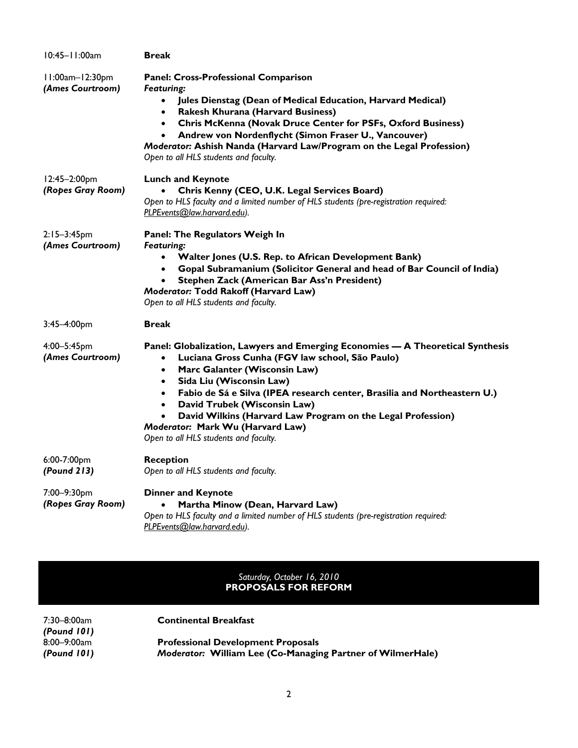| 10:45-11:00am                        | <b>Break</b>                                                                                                                                                                                                                                                                                                                                                                                                                                                                                               |
|--------------------------------------|------------------------------------------------------------------------------------------------------------------------------------------------------------------------------------------------------------------------------------------------------------------------------------------------------------------------------------------------------------------------------------------------------------------------------------------------------------------------------------------------------------|
| II:00am-12:30pm<br>(Ames Courtroom)  | <b>Panel: Cross-Professional Comparison</b><br><b>Featuring:</b><br>Jules Dienstag (Dean of Medical Education, Harvard Medical)<br>$\bullet$<br><b>Rakesh Khurana (Harvard Business)</b><br>$\bullet$<br>Chris McKenna (Novak Druce Center for PSFs, Oxford Business)<br>$\bullet$<br>Andrew von Nordenflycht (Simon Fraser U., Vancouver)<br>Moderator: Ashish Nanda (Harvard Law/Program on the Legal Profession)<br>Open to all HLS students and faculty.                                               |
| 12:45-2:00pm<br>(Ropes Gray Room)    | <b>Lunch and Keynote</b><br>Chris Kenny (CEO, U.K. Legal Services Board)<br>Open to HLS faculty and a limited number of HLS students (pre-registration required:<br>PLPEvents@law.harvard.edu).                                                                                                                                                                                                                                                                                                            |
| $2:15 - 3:45$ pm<br>(Ames Courtroom) | Panel: The Regulators Weigh In<br><b>Featuring:</b><br>Walter Jones (U.S. Rep. to African Development Bank)<br>Gopal Subramanium (Solicitor General and head of Bar Council of India)<br>$\bullet$<br>Stephen Zack (American Bar Ass'n President)<br>$\bullet$<br>Moderator: Todd Rakoff (Harvard Law)<br>Open to all HLS students and faculty.                                                                                                                                                            |
| 3:45-4:00pm                          | <b>Break</b>                                                                                                                                                                                                                                                                                                                                                                                                                                                                                               |
| 4:00-5:45pm<br>(Ames Courtroom)      | Panel: Globalization, Lawyers and Emerging Economies - A Theoretical Synthesis<br>Luciana Gross Cunha (FGV law school, São Paulo)<br>$\bullet$<br>Marc Galanter (Wisconsin Law)<br>$\bullet$<br>Sida Liu (Wisconsin Law)<br>$\bullet$<br>Fabio de Sá e Silva (IPEA research center, Brasilia and Northeastern U.)<br>$\bullet$<br>David Trubek (Wisconsin Law)<br>David Wilkins (Harvard Law Program on the Legal Profession)<br>Moderator: Mark Wu (Harvard Law)<br>Open to all HLS students and faculty. |
| 6:00-7:00pm<br>(Found 213)           | <b>Reception</b><br>Open to all HLS students and faculty.                                                                                                                                                                                                                                                                                                                                                                                                                                                  |
| 7:00-9:30pm<br>(Ropes Gray Room)     | <b>Dinner and Keynote</b><br>Martha Minow (Dean, Harvard Law)<br>Open to HLS faculty and a limited number of HLS students (pre-registration required:<br>PLPEvents@law.harvard.edu).                                                                                                                                                                                                                                                                                                                       |

### *Saturday, October 16, 2010*  **PROPOSALS FOR REFORM**

| 7:30–8:00am      | <b>Continental Breakfast</b>                                      |
|------------------|-------------------------------------------------------------------|
| $($ Pound $101)$ |                                                                   |
| 8:00–9:00am      | <b>Professional Development Proposals</b>                         |
| (Pound 101)      | <b>Moderator: William Lee (Co-Managing Partner of WilmerHale)</b> |